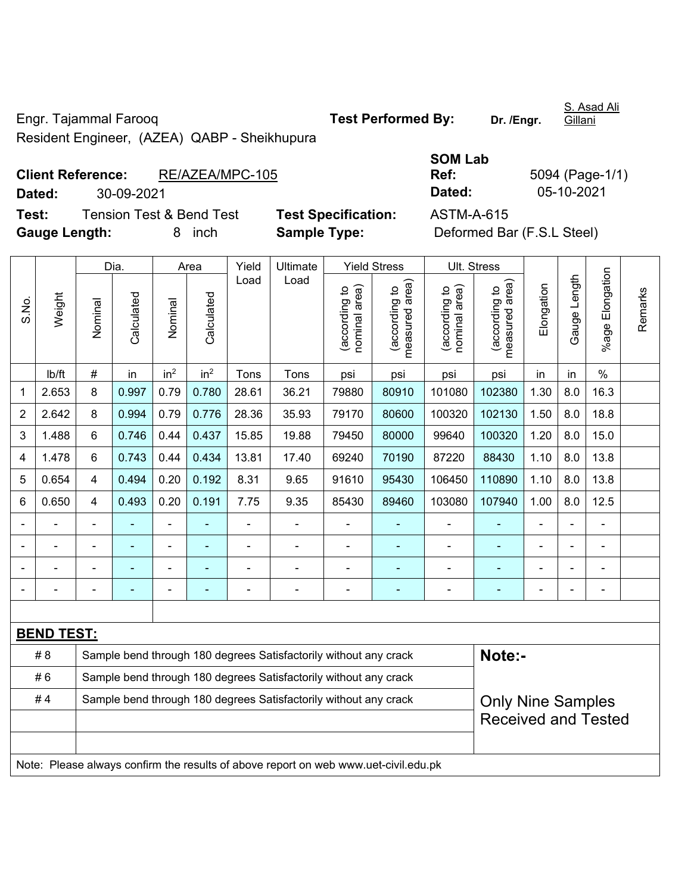Engr. Tajammal Farooq **Test Performed By:** Dr. /Engr.

S. Asad Ali Gillani

Resident Engineer, (AZEA) QABP - Sheikhupura

# **Client Reference:** RE/AZEA/MPC-105 **Dated:** 30-09-2021 **Dated:** 05-10-2021 **Test:** Tension Test & Bend Test **Test Specification:** ASTM-A-615

| <b>SOM Lab</b> |                 |
|----------------|-----------------|
| Ref:           | 5094 (Page-1/1) |
| Dated:         | 05-10-2021      |

**Gauge Length:** 8 inch **Sample Type:** Deformed Bar (F.S.L Steel)

|                |                   |                | Dia.          |                 | Area            | Yield | Ultimate                                                                            |                               | <b>Yield Stress</b>             |                                | Ult. Stress                     |                |                          |                      |         |  |  |
|----------------|-------------------|----------------|---------------|-----------------|-----------------|-------|-------------------------------------------------------------------------------------|-------------------------------|---------------------------------|--------------------------------|---------------------------------|----------------|--------------------------|----------------------|---------|--|--|
| S.No.          | Weight            | Nominal        | Calculated    | Nominal         | Calculated      | Load  | Load                                                                                | nominal area)<br>according to | (according to<br>measured area) | nominal area)<br>(according to | (according to<br>measured area) | Elongation     | Gauge Length             | Elongation<br>%age F | Remarks |  |  |
|                | Ib/ft             | $\#$           | in            | in <sup>2</sup> | in <sup>2</sup> | Tons  | Tons                                                                                | psi                           | psi                             | psi                            | psi                             | in             | in                       | $\%$                 |         |  |  |
| 1              | 2.653             | 8              | 0.997         | 0.79            | 0.780           | 28.61 | 36.21                                                                               | 79880                         | 80910                           | 101080                         | 102380                          | 1.30           | 8.0                      | 16.3                 |         |  |  |
| $\overline{2}$ | 2.642             | 8              | 0.994         | 0.79            | 0.776           | 28.36 | 35.93                                                                               | 79170                         | 80600                           | 100320                         | 102130                          | 1.50           | 8.0                      | 18.8                 |         |  |  |
| 3              | 1.488             | 6              | 0.746         | 0.44            | 0.437           | 15.85 | 19.88                                                                               | 79450                         | 80000                           | 99640                          | 100320                          | 1.20           | 8.0                      | 15.0                 |         |  |  |
| 4              | 1.478             | 6              | 0.743         | 0.44            | 0.434           | 13.81 | 17.40                                                                               | 69240                         | 70190                           | 87220                          | 88430                           | 1.10           | 8.0                      | 13.8                 |         |  |  |
| 5              | 0.654             | $\overline{4}$ | 0.494         | 0.20            | 0.192           | 8.31  | 9.65                                                                                | 91610                         | 95430                           | 106450                         | 110890                          | 1.10           | 8.0                      | 13.8                 |         |  |  |
| 6              | 0.650             | $\overline{4}$ | 0.493         | 0.20            | 0.191           | 7.75  | 9.35                                                                                | 85430                         | 89460                           | 103080                         | 8.0<br>12.5<br>107940<br>1.00   |                |                          |                      |         |  |  |
|                | $\blacksquare$    | ÷,             | ä,            | ä,              |                 | ä,    | $\blacksquare$                                                                      | $\blacksquare$                |                                 | $\blacksquare$                 | ÷                               | $\blacksquare$ | $\overline{\phantom{a}}$ | $\blacksquare$       |         |  |  |
| ä,             | ä,                | $\blacksquare$ | $\frac{1}{2}$ | $\blacksquare$  | ÷               |       | ÷                                                                                   | $\blacksquare$                | ٠                               | $\blacksquare$                 | ÷                               | ä,             |                          | ä,                   |         |  |  |
|                |                   |                | L.            |                 |                 |       |                                                                                     | $\blacksquare$                |                                 | $\blacksquare$                 | $\blacksquare$                  |                |                          | $\blacksquare$       |         |  |  |
|                |                   |                |               |                 |                 |       |                                                                                     |                               |                                 |                                |                                 |                |                          | $\blacksquare$       |         |  |  |
|                |                   |                |               |                 |                 |       |                                                                                     |                               |                                 |                                |                                 |                |                          |                      |         |  |  |
|                | <b>BEND TEST:</b> |                |               |                 |                 |       |                                                                                     |                               |                                 |                                |                                 |                |                          |                      |         |  |  |
|                | #8                |                |               |                 |                 |       | Sample bend through 180 degrees Satisfactorily without any crack                    |                               |                                 |                                | Note:-                          |                |                          |                      |         |  |  |
|                | #6                |                |               |                 |                 |       | Sample bend through 180 degrees Satisfactorily without any crack                    |                               |                                 |                                |                                 |                |                          |                      |         |  |  |
|                | #4                |                |               |                 |                 |       | Sample bend through 180 degrees Satisfactorily without any crack                    |                               |                                 |                                | <b>Only Nine Samples</b>        |                |                          |                      |         |  |  |
|                |                   |                |               |                 |                 |       |                                                                                     |                               |                                 |                                | <b>Received and Tested</b>      |                |                          |                      |         |  |  |
|                |                   |                |               |                 |                 |       | Note: Please always confirm the results of above report on web www.uet-civil.edu.pk |                               |                                 |                                |                                 |                |                          |                      |         |  |  |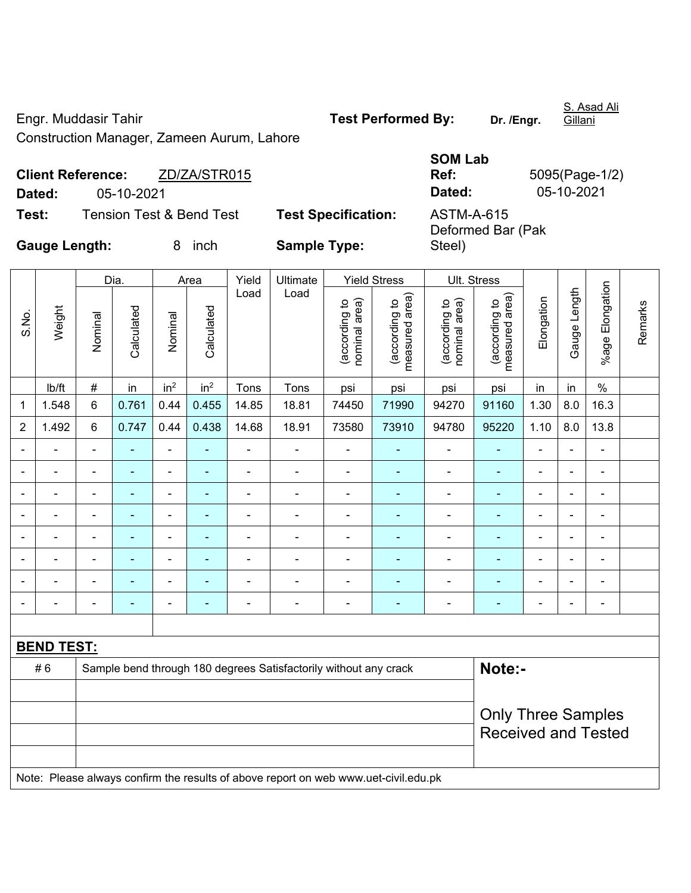Engr. Muddasir Tahir **Test Performed By:** Dr. /Engr.

S. Asad Ali

Construction Manager, Zameen Aurum, Lahore

# **SOM Lab Ref:** 5095(Page-1/2) **Dated:** 05-10-2021 **Dated:** 05-10-2021

٦

**Test:** Tension Test & Bend Test **Test Specification:** ASTM-A-615

**Client Reference:** ZD/ZA/STR015

Deformed Bar (Pak Steel)

**Gauge Length:** 8 inch **Sample Type:** 

|                |                   |                | Dia.       |                              | Area            | Yield          | Ultimate                                                                            |                                | <b>Yield Stress</b>             |                                | Ult. Stress                     |                |                |                 |         |
|----------------|-------------------|----------------|------------|------------------------------|-----------------|----------------|-------------------------------------------------------------------------------------|--------------------------------|---------------------------------|--------------------------------|---------------------------------|----------------|----------------|-----------------|---------|
| S.No.          | Weight            | Nominal        | Calculated | Nominal                      | Calculated      | Load           | Load                                                                                | (according to<br>nominal area) | (according to<br>measured area) | (according to<br>nominal area) | measured area)<br>(according to | Elongation     | Gauge Length   | %age Elongation | Remarks |
|                | Ib/ft             | $\#$           | in         | in <sup>2</sup>              | in <sup>2</sup> | Tons           | Tons                                                                                | psi                            | psi                             | psi                            | psi                             | in             | in             | $\%$            |         |
| 1              | 1.548             | $6\phantom{1}$ | 0.761      | 0.44                         | 0.455           | 14.85          | 18.81                                                                               | 74450                          | 71990                           | 94270                          | 91160                           | 1.30           | 8.0            | 16.3            |         |
| $\overline{2}$ | 1.492             | 6              | 0.747      | 0.44                         | 0.438           | 14.68          | 18.91                                                                               | 73580                          | 73910                           | 94780                          | 95220                           | 1.10           | 8.0            | 13.8            |         |
| $\blacksquare$ | $\blacksquare$    | $\blacksquare$ | ÷,         | $\qquad \qquad \blacksquare$ | ٠               | $\blacksquare$ | $\blacksquare$                                                                      | $\blacksquare$                 | $\blacksquare$                  | $\qquad \qquad \blacksquare$   | $\frac{1}{2}$                   | $\blacksquare$ | $\blacksquare$ | $\blacksquare$  |         |
| $\blacksquare$ | $\blacksquare$    | $\blacksquare$ | ÷,         | $\overline{\phantom{a}}$     | ٠               | ÷,             | $\blacksquare$                                                                      | $\blacksquare$                 | $\blacksquare$                  | $\overline{\phantom{a}}$       | $\blacksquare$                  | $\blacksquare$ | ÷              | $\blacksquare$  |         |
| $\blacksquare$ | $\blacksquare$    | $\blacksquare$ | ÷          | $\blacksquare$               | $\blacksquare$  | $\blacksquare$ | $\blacksquare$                                                                      | $\blacksquare$                 | $\blacksquare$                  | $\qquad \qquad \blacksquare$   | $\blacksquare$                  | $\blacksquare$ | ä,             | $\blacksquare$  |         |
|                |                   | $\blacksquare$ | ä,         | $\qquad \qquad \blacksquare$ | ٠               |                |                                                                                     | ÷,                             | ÷,                              | ÷,                             | ÷,                              | $\blacksquare$ | ä,             | $\blacksquare$  |         |
|                |                   | $\blacksquare$ | ä,         | ۰                            |                 |                | $\blacksquare$                                                                      | $\blacksquare$                 | $\blacksquare$                  | ۰                              | $\blacksquare$                  | $\blacksquare$ | $\blacksquare$ | $\blacksquare$  |         |
| $\blacksquare$ |                   | $\blacksquare$ | ۰          | $\blacksquare$               | ۰               | $\blacksquare$ | $\blacksquare$                                                                      | $\blacksquare$                 | $\blacksquare$                  | $\blacksquare$                 | ٠                               | $\blacksquare$ | $\blacksquare$ | $\blacksquare$  |         |
|                |                   |                | ÷,         | $\blacksquare$               | ä,              |                | $\blacksquare$                                                                      | ä,                             | ÷                               | $\blacksquare$                 | ٠                               | $\blacksquare$ | ä,             | $\blacksquare$  |         |
| $\blacksquare$ |                   | $\blacksquare$ | ۰          | $\overline{\phantom{a}}$     | ٠               |                | $\blacksquare$                                                                      | $\overline{\phantom{a}}$       | ÷                               | ۰                              | $\blacksquare$                  | $\blacksquare$ | $\blacksquare$ | $\blacksquare$  |         |
|                |                   |                |            |                              |                 |                |                                                                                     |                                |                                 |                                |                                 |                |                |                 |         |
|                | <b>BEND TEST:</b> |                |            |                              |                 |                |                                                                                     |                                |                                 |                                |                                 |                |                |                 |         |
|                | #6                |                |            |                              |                 |                | Sample bend through 180 degrees Satisfactorily without any crack                    |                                |                                 |                                | Note:-                          |                |                |                 |         |
|                |                   |                |            |                              |                 |                |                                                                                     |                                |                                 |                                |                                 |                |                |                 |         |
|                |                   |                |            |                              |                 |                |                                                                                     |                                |                                 |                                | <b>Only Three Samples</b>       |                |                |                 |         |
|                |                   |                |            |                              |                 |                |                                                                                     |                                |                                 |                                | <b>Received and Tested</b>      |                |                |                 |         |
|                |                   |                |            |                              |                 |                |                                                                                     |                                |                                 |                                |                                 |                |                |                 |         |
|                |                   |                |            |                              |                 |                | Note: Please always confirm the results of above report on web www.uet-civil.edu.pk |                                |                                 |                                |                                 |                |                |                 |         |

Gillani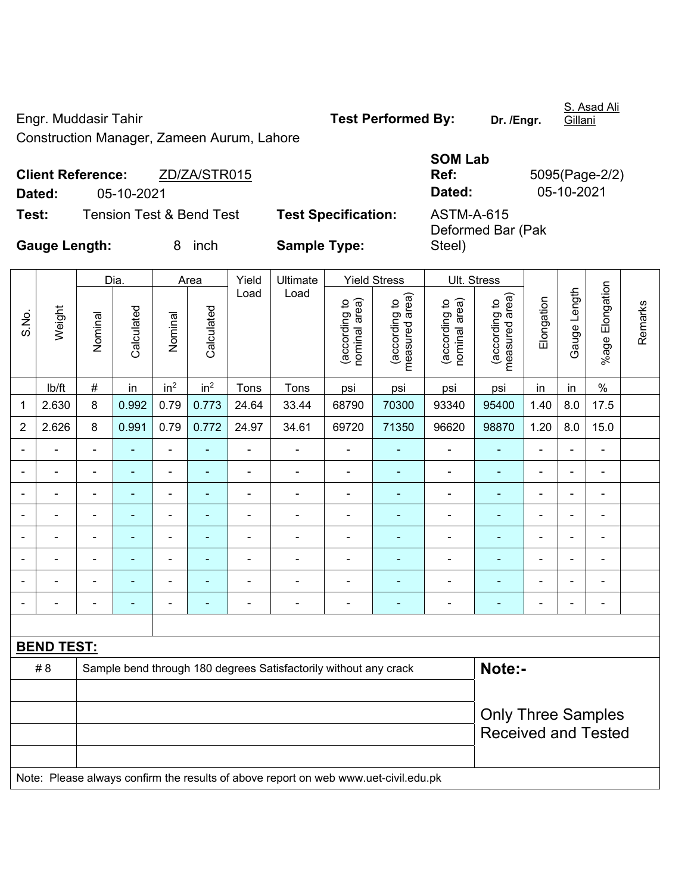Engr. Muddasir Tahir **Test Performed By:** Dr. /Engr.

S. Asad Ali

Construction Manager, Zameen Aurum, Lahore

|                          |            |              | <b>SOM Lab</b> |                |
|--------------------------|------------|--------------|----------------|----------------|
| <b>Client Reference:</b> |            | ZD/ZA/STR015 | Ref:           | 5095(Page-2/2) |
| Dated:                   | 05-10-2021 |              | Dated:         | 05-10-2021     |

**Test:** Tension Test & Bend Test **Test Specification:** ASTM-A-615

Deformed Bar (Pak Steel)

**Gauge Length:** 8 inch **Sample Type:** 

|                |                   |                          | Dia.           |                          | Area                     | Yield          | Ultimate                                                                            |                                | <b>Yield Stress</b>                         |                                | Ult. Stress                     |                |                          |                              |         |
|----------------|-------------------|--------------------------|----------------|--------------------------|--------------------------|----------------|-------------------------------------------------------------------------------------|--------------------------------|---------------------------------------------|--------------------------------|---------------------------------|----------------|--------------------------|------------------------------|---------|
| S.No.          | Weight            | Nominal                  | Calculated     | Nominal                  | Calculated               | Load           | Load                                                                                | (according to<br>nominal area) | (according to<br>measured area)<br>measured | nominal area)<br>(according to | (according to<br>measured area) | Elongation     | Gauge Length             | %age Elongation              | Remarks |
|                | Ib/ft             | $\#$                     | in             | in <sup>2</sup>          | in <sup>2</sup>          | Tons           | Tons                                                                                | psi                            | psi                                         | psi                            | psi                             | in             | in                       | $\%$                         |         |
| 1              | 2.630             | 8                        | 0.992          | 0.79                     | 0.773                    | 24.64          | 33.44                                                                               | 68790                          | 70300                                       | 93340                          | 95400                           | 1.40           | 8.0                      | 17.5                         |         |
| $\overline{2}$ | 2.626             | 8                        | 0.991          | 0.79                     | 0.772                    | 24.97          | 34.61                                                                               | 69720                          | 71350                                       | 96620                          | 98870                           | 1.20           | 8.0                      | 15.0                         |         |
| $\blacksquare$ | $\blacksquare$    | $\blacksquare$           | ä,             | $\blacksquare$           | ÷                        | ä,             | $\overline{\phantom{0}}$                                                            | $\blacksquare$                 | $\blacksquare$                              | $\blacksquare$                 | $\blacksquare$                  | $\blacksquare$ | $\overline{\phantom{0}}$ | $\blacksquare$               |         |
|                | $\blacksquare$    | $\overline{\phantom{a}}$ | $\blacksquare$ | $\blacksquare$           | $\overline{\phantom{a}}$ | ä,             | ä,                                                                                  | $\overline{\phantom{a}}$       | $\blacksquare$                              | $\overline{a}$                 | $\blacksquare$                  | $\overline{a}$ | $\blacksquare$           | ÷,                           |         |
|                | $\blacksquare$    | $\blacksquare$           | $\blacksquare$ | $\blacksquare$           | $\blacksquare$           | $\blacksquare$ | ä,                                                                                  | $\blacksquare$                 | $\blacksquare$                              | $\overline{\phantom{0}}$       | $\blacksquare$                  | ä,             | $\frac{1}{2}$            | $\qquad \qquad \blacksquare$ |         |
|                |                   |                          | $\blacksquare$ | $\overline{a}$           | $\overline{\phantom{a}}$ | $\blacksquare$ | ÷.                                                                                  | $\blacksquare$                 | $\blacksquare$                              | $\blacksquare$                 | $\blacksquare$                  | $\blacksquare$ | $\blacksquare$           | $\blacksquare$               |         |
|                |                   |                          |                | ÷                        |                          | L              | $\blacksquare$                                                                      | Ē,                             |                                             | Ē,                             | $\blacksquare$                  | Ē,             | ÷                        | $\blacksquare$               |         |
| $\overline{a}$ | $\blacksquare$    | -                        | ÷              | $\overline{\phantom{a}}$ | $\blacksquare$           | $\blacksquare$ | ä,                                                                                  | $\blacksquare$                 | $\overline{\phantom{a}}$                    | ÷,                             | $\blacksquare$                  | $\blacksquare$ | $\frac{1}{2}$            | $\blacksquare$               |         |
|                |                   | $\blacksquare$           | $\blacksquare$ | -                        |                          | $\blacksquare$ | $\overline{a}$                                                                      | $\blacksquare$                 | $\overline{\phantom{a}}$                    | $\blacksquare$                 | $\blacksquare$                  | ä,             | ÷                        | $\blacksquare$               |         |
|                |                   | $\blacksquare$           | $\blacksquare$ | $\overline{\phantom{a}}$ | $\overline{\phantom{a}}$ | $\blacksquare$ | ä,                                                                                  | ä,                             | $\blacksquare$                              | $\qquad \qquad \blacksquare$   | $\blacksquare$                  | $\blacksquare$ | $\frac{1}{2}$            | $\qquad \qquad \blacksquare$ |         |
|                |                   |                          |                |                          |                          |                |                                                                                     |                                |                                             |                                |                                 |                |                          |                              |         |
|                | <b>BEND TEST:</b> |                          |                |                          |                          |                |                                                                                     |                                |                                             |                                |                                 |                |                          |                              |         |
|                | # 8               |                          |                |                          |                          |                | Sample bend through 180 degrees Satisfactorily without any crack                    |                                |                                             |                                | Note:-                          |                |                          |                              |         |
|                |                   |                          |                |                          |                          |                |                                                                                     |                                |                                             |                                |                                 |                |                          |                              |         |
|                |                   |                          |                |                          |                          |                |                                                                                     |                                |                                             |                                | <b>Only Three Samples</b>       |                |                          |                              |         |
|                |                   |                          |                |                          |                          |                |                                                                                     |                                |                                             |                                | <b>Received and Tested</b>      |                |                          |                              |         |
|                |                   |                          |                |                          |                          |                |                                                                                     |                                |                                             |                                |                                 |                |                          |                              |         |
|                |                   |                          |                |                          |                          |                | Note: Please always confirm the results of above report on web www.uet-civil.edu.pk |                                |                                             |                                |                                 |                |                          |                              |         |

Gillani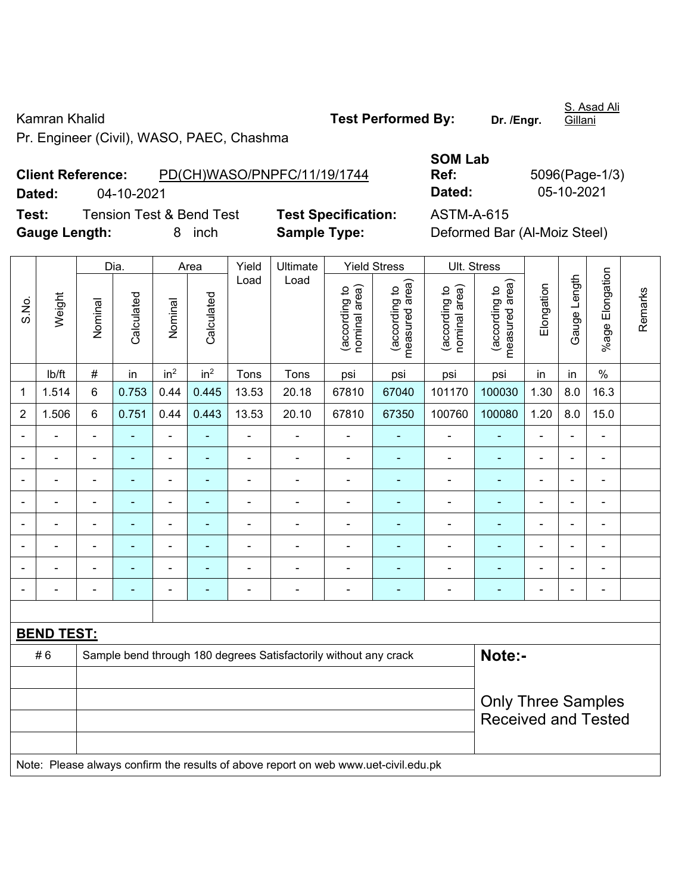Kamran Khalid **Test Performed By:** Dr. /Engr.

Pr. Engineer (Civil), WASO, PAEC, Chashma

**Client Reference:** PD(CH)WASO/PNPFC/11/19/1744

**Test:** Tension Test & Bend Test **Test Specification:** ASTM-A-615 **Gauge Length:** 8 inch **Sample Type:** Deformed Bar (Al-Moiz Steel)

**Dated:** 04-10-2021 **Dated:** 05-10-2021

|                |                   |                | Dia.           |                          | Area                                                    | Yield          | Ultimate                                                                            |                               | <b>Yield Stress</b>             |                                | Ult. Stress                     |                |                |                          |         |
|----------------|-------------------|----------------|----------------|--------------------------|---------------------------------------------------------|----------------|-------------------------------------------------------------------------------------|-------------------------------|---------------------------------|--------------------------------|---------------------------------|----------------|----------------|--------------------------|---------|
| S.No.          | Weight            | Nominal        | Calculated     | Nominal                  | Calculated                                              | Load           | Load                                                                                | nominal area)<br>according to | (according to<br>measured area) | (according to<br>nominal area) | (according to<br>measured area) | Elongation     | Gauge Length   | Elongation<br>%age l     | Remarks |
|                | lb/ft             | $\#$           | in             | in <sup>2</sup>          | in <sup>2</sup>                                         | Tons           | Tons                                                                                | psi                           | psi                             | psi                            | psi                             | in             | in             | $\%$                     |         |
| 1              | 1.514             | $\,6$          | 0.753          | 0.44                     | 0.445                                                   | 13.53          | 20.18                                                                               | 67810                         | 67040                           | 101170                         | 100030                          | 1.30           | 8.0            | 16.3                     |         |
| $\overline{2}$ | 1.506             | 6              | 0.751          | 0.44                     | 0.443                                                   | 13.53          | 20.10                                                                               | 67810                         | 67350                           | 100760                         | 100080                          | 1.20           | 8.0            | 15.0                     |         |
|                | ä,                |                | $\blacksquare$ | ÷,                       |                                                         | $\blacksquare$ | ä,                                                                                  | $\blacksquare$                | ÷                               | $\blacksquare$                 | ٠                               | $\blacksquare$ | $\blacksquare$ | ÷,                       |         |
|                | ÷                 | ä,             | $\blacksquare$ | ÷,                       |                                                         | $\blacksquare$ | Ē,                                                                                  | $\blacksquare$                | $\blacksquare$                  | $\blacksquare$                 | ۰                               | $\blacksquare$ | $\blacksquare$ | $\blacksquare$           |         |
| $\blacksquare$ | ä,                | $\blacksquare$ | ٠              | $\overline{\phantom{a}}$ | $\blacksquare$                                          | $\blacksquare$ | ä,                                                                                  | $\blacksquare$                | $\blacksquare$                  | $\blacksquare$                 | $\blacksquare$                  | $\blacksquare$ | $\blacksquare$ | $\blacksquare$           |         |
|                | $\blacksquare$    |                | $\blacksquare$ | ÷                        |                                                         | $\blacksquare$ | L.                                                                                  | $\blacksquare$                | ۰                               | $\blacksquare$                 | $\blacksquare$                  | $\blacksquare$ |                | $\overline{\phantom{a}}$ |         |
|                |                   |                | $\blacksquare$ | ä,                       |                                                         | ä,             | Ě.                                                                                  | $\blacksquare$                | $\blacksquare$                  | $\blacksquare$                 | ä,                              | $\blacksquare$ |                | $\blacksquare$           |         |
|                |                   |                | -              | ۰                        |                                                         | Ē,             | L.                                                                                  |                               |                                 | $\blacksquare$                 | ۰                               |                |                | ä,                       |         |
|                |                   |                | ۳              | $\blacksquare$           |                                                         |                | L.                                                                                  | $\blacksquare$                |                                 | $\blacksquare$                 | $\blacksquare$                  |                |                | $\blacksquare$           |         |
|                |                   |                | ٠              | ÷                        |                                                         | ÷              | Ē,                                                                                  | $\blacksquare$                | $\blacksquare$                  | $\blacksquare$                 | ٠                               | $\blacksquare$ | $\blacksquare$ | $\blacksquare$           |         |
|                |                   |                |                |                          |                                                         |                |                                                                                     |                               |                                 |                                |                                 |                |                |                          |         |
|                | <b>BEND TEST:</b> |                |                |                          |                                                         |                |                                                                                     |                               |                                 |                                |                                 |                |                |                          |         |
|                | #6                |                |                |                          |                                                         |                | Sample bend through 180 degrees Satisfactorily without any crack                    |                               |                                 |                                | Note:-                          |                |                |                          |         |
|                |                   |                |                |                          |                                                         |                |                                                                                     |                               |                                 |                                |                                 |                |                |                          |         |
|                |                   |                |                |                          | <b>Only Three Samples</b><br><b>Received and Tested</b> |                |                                                                                     |                               |                                 |                                |                                 |                |                |                          |         |
|                |                   |                |                |                          |                                                         |                | Note: Please always confirm the results of above report on web www.uet-civil.edu.pk |                               |                                 |                                |                                 |                |                |                          |         |

**SOM Lab Ref:** 5096(Page-1/3)

**Gillani** 

S. Asad Ali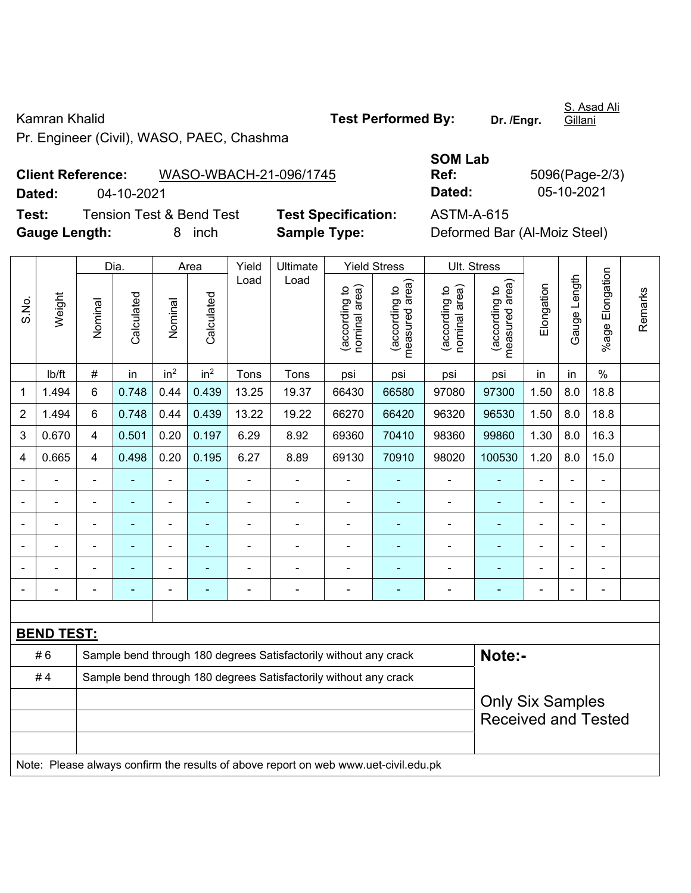Pr. Engineer (Civil), WASO, PAEC, Chashma

**Client Reference:** WASO-WBACH-21-096/1745 **Dated:** 04-10-2021 **Dated:** 05-10-2021 **Test:** Tension Test & Bend Test **Test Specification:** ASTM-A-615 **Gauge Length:** 8 inch **Sample Type:** Deformed Bar (Al-Moiz Steel)

Dia. | Area | Yield | Ultimate | Yield Stress | Ult. Stress %age Elongation %age Elongation Gauge Length Load Load Gauge Length (according to<br>measured area) measured area) measured area) (according to<br>nominal area) (according to<br>nominal area) nominal area) nominal area) (according to<br>measured area) Elongation Elongation (according to (according to (according to (according to Remarks Remarks Weight **Calculated Calculated** Calculated Calculated S.No. Nominal Nominal Vominal Nominal | lb/ft | # | in | in<sup>2</sup> | in<sup>2</sup> | Tons | Tons | psi | psi | psi | psi | in | in | % 1 | 1.494 | 6 | 0.748 | 0.44 | 0.439 | 13.25 | 19.37 | 66430 | 66580 | 97080 | 97300 | 1.50 | 8.0 | 18.8 2 | 1.494 | 6 | 0.748 | 0.44 | 0.439 | 13.22 | 19.22 | 66270 | 66420 | 96320 | 96530 | 1.50 | 8.0 | 18.8 3 | 0.670 | 4 | 0.501 | 0.20 | 0.197 | 6.29 | 8.92 | 69360 | 70410 | 98360 | 99860 | 1.30 | 8.0 | 16.3 4 | 0.665 | 4 | 0.498 | 0.20 | 0.195 | 6.27 | 8.89 | 69130 | 70910 | 98020 | 100530 | 1.20 | 8.0 | 15.0 - - - - - - - - - - - - - - - - - - - - - - - - - - - - - - - - - - - - - - - - - - - - - - - - - - - - - - - - - - - - - - - - - - - - - - - - - - - - - - - - - - - - - - - - - - **BEND TEST:**  # 6 Sample bend through 180 degrees Satisfactorily without any crack **Note:- Note:** #4 Sample bend through 180 degrees Satisfactorily without any crack Only Six Samples Received and Tested Note: Please always confirm the results of above report on web www.uet-civil.edu.pk

**SOM Lab Ref:** 5096(Page-2/3)

S. Asad Ali Gillani

Kamran Khalid **Test Performed By:** Dr. /Engr.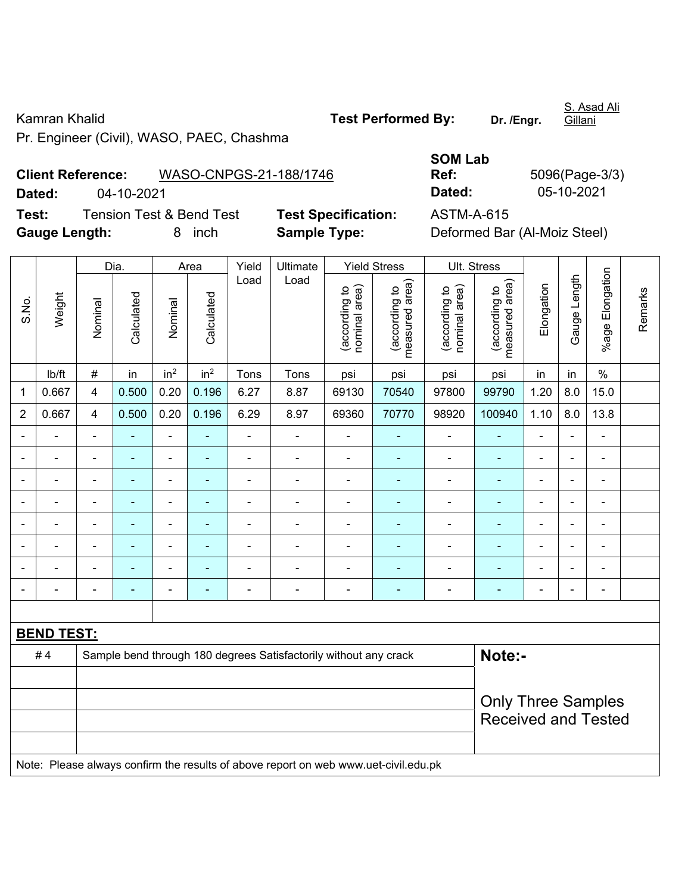Pr. Engineer (Civil), WASO, PAEC, Chashma

**Client Reference:** WASO-CNPGS-21-188/1746 **Dated:** 04-10-2021 **Dated:** 05-10-2021 **Test:** Tension Test & Bend Test **Test Specification:** ASTM-A-615

**Gauge Length:** 8 inch **Sample Type:** Deformed Bar (Al-Moiz Steel)

Dia. | Area Yield Ultimate Yield Stress Ult. Stress

|                |                   | Dia.<br>Area<br>Yield<br>Ultimate<br>Yield Stress |            |                          |                          |                |                                                                                     |                                |                                 |                                |                                 | UII. Stress    |                |                          |         |
|----------------|-------------------|---------------------------------------------------|------------|--------------------------|--------------------------|----------------|-------------------------------------------------------------------------------------|--------------------------------|---------------------------------|--------------------------------|---------------------------------|----------------|----------------|--------------------------|---------|
| S.No.          | Weight            | Nominal                                           | Calculated | Nominal                  | Calculated               | Load           | Load                                                                                | nominal area)<br>(according to | (according to<br>measured area) | nominal area)<br>(according to | (according to<br>measured area) | Elongation     | Gauge Length   | Elongation<br>%age l     | Remarks |
|                | lb/ft             | $\#$                                              | in         | in <sup>2</sup>          | in <sup>2</sup>          | Tons           | Tons                                                                                | psi                            | psi                             | psi                            | psi                             | in             | in             | $\%$                     |         |
| 1              | 0.667             | $\overline{4}$                                    | 0.500      | 0.20                     | 0.196                    | 6.27           | 8.87                                                                                | 69130                          | 70540                           | 97800                          | 99790                           | 1.20           | 8.0            | 15.0                     |         |
| $\overline{2}$ | 0.667             | $\overline{4}$                                    | 0.500      | 0.20                     | 0.196                    | 6.29           | 8.97                                                                                | 69360                          | 70770                           | 98920                          | 100940                          | 1.10           | 8.0            | 13.8                     |         |
|                |                   | $\blacksquare$                                    |            | ä,                       |                          | $\blacksquare$ | ÷                                                                                   | $\blacksquare$                 |                                 | $\blacksquare$                 |                                 |                |                | $\frac{1}{2}$            |         |
| $\blacksquare$ |                   | $\blacksquare$                                    | ä,         | $\overline{\phantom{a}}$ | $\overline{a}$           | $\blacksquare$ | ÷                                                                                   | $\overline{\phantom{a}}$       | ۰                               | $\blacksquare$                 | $\blacksquare$                  | $\blacksquare$ | $\blacksquare$ | $\overline{\phantom{a}}$ |         |
| $\blacksquare$ |                   | $\blacksquare$                                    | ÷,         | $\blacksquare$           |                          | $\blacksquare$ | $\blacksquare$                                                                      | $\blacksquare$                 |                                 | $\overline{\phantom{0}}$       | Ē,                              | $\blacksquare$ |                | $\frac{1}{2}$            |         |
| $\blacksquare$ |                   | $\blacksquare$                                    | ä,         | $\overline{\phantom{a}}$ | $\blacksquare$           | $\blacksquare$ | ÷                                                                                   | $\blacksquare$                 | ۰                               | $\overline{\phantom{0}}$       | $\blacksquare$                  | $\blacksquare$ |                | $\overline{\phantom{a}}$ |         |
|                |                   |                                                   | ۰          |                          |                          |                |                                                                                     |                                |                                 |                                |                                 |                |                | -                        |         |
|                |                   |                                                   | ۰          | -                        |                          |                | $\blacksquare$                                                                      | $\overline{a}$                 |                                 |                                |                                 |                |                | $\blacksquare$           |         |
| $\blacksquare$ |                   | $\blacksquare$                                    | ۰          | ÷                        | $\blacksquare$           | $\blacksquare$ | ÷                                                                                   | $\blacksquare$                 | ۰                               | $\overline{\phantom{0}}$       | $\blacksquare$                  | ۰              | $\blacksquare$ | ÷,                       |         |
| $\blacksquare$ |                   | $\blacksquare$                                    | ä,         | $\blacksquare$           | $\overline{\phantom{a}}$ | $\blacksquare$ | $\blacksquare$                                                                      | $\blacksquare$                 | $\blacksquare$                  | $\blacksquare$                 | $\blacksquare$                  | $\blacksquare$ |                | $\blacksquare$           |         |
|                |                   |                                                   |            |                          |                          |                |                                                                                     |                                |                                 |                                |                                 |                |                |                          |         |
|                | <b>BEND TEST:</b> |                                                   |            |                          |                          |                |                                                                                     |                                |                                 |                                |                                 |                |                |                          |         |
|                | #4                |                                                   |            |                          |                          |                | Sample bend through 180 degrees Satisfactorily without any crack                    |                                |                                 |                                | Note:-                          |                |                |                          |         |
|                |                   |                                                   |            |                          |                          |                |                                                                                     |                                |                                 |                                |                                 |                |                |                          |         |
|                |                   | <b>Only Three Samples</b>                         |            |                          |                          |                |                                                                                     |                                |                                 |                                |                                 |                |                |                          |         |
|                |                   | <b>Received and Tested</b>                        |            |                          |                          |                |                                                                                     |                                |                                 |                                |                                 |                |                |                          |         |
|                |                   |                                                   |            |                          |                          |                |                                                                                     |                                |                                 |                                |                                 |                |                |                          |         |
|                |                   |                                                   |            |                          |                          |                | Note: Please always confirm the results of above report on web www.uet-civil.edu.pk |                                |                                 |                                |                                 |                |                |                          |         |

**SOM Lab Ref:** 5096(Page-3/3)

S. Asad Ali **Gillani** 

Kamran Khalid **Test Performed By:** Dr. /Engr.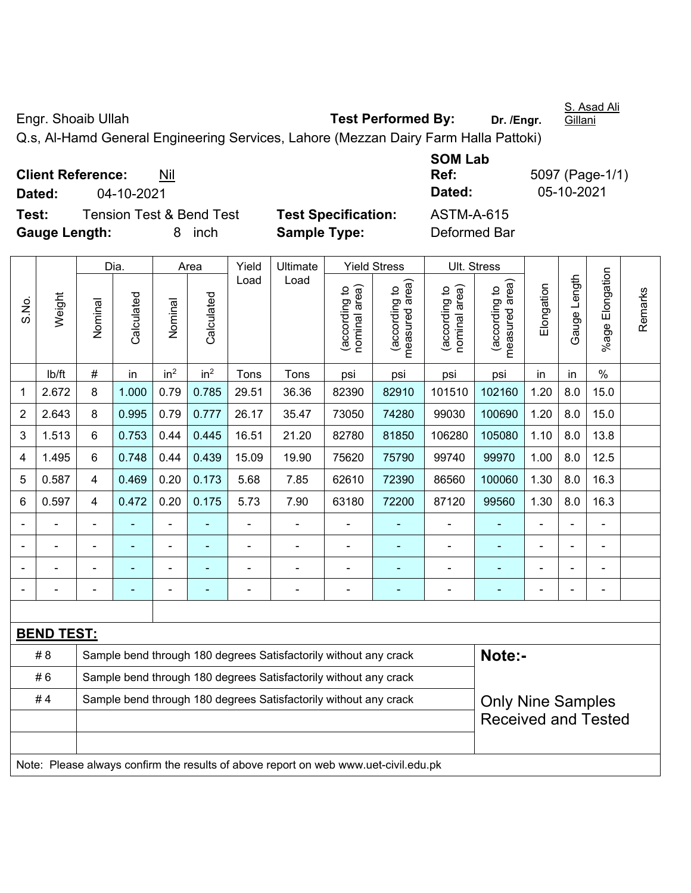Engr. Shoaib Ullah **Test Performed By:** Dr. /Engr.

S. Asad Ali **Gillani** 

Q.s, Al-Hamd General Engineering Services, Lahore (Mezzan Dairy Farm Halla Pattoki)

**Client Reference:** Nil

**Test:** Tension Test & Bend Test **Test Specification:** ASTM-A-615 **Gauge Length:** 8 inch **Sample Type:** Deformed Bar

**SOM Lab Ref:** 5097 (Page-1/1) **Dated:** 04-10-2021 **Dated:** 05-10-2021

|                |                   |         | Dia.       |                 | Area            | Yield | Ultimate                                                                            |                                | <b>Yield Stress</b>             |                                | Ult. Stress                     |            |              |                           |         |
|----------------|-------------------|---------|------------|-----------------|-----------------|-------|-------------------------------------------------------------------------------------|--------------------------------|---------------------------------|--------------------------------|---------------------------------|------------|--------------|---------------------------|---------|
| S.No.          | Weight            | Nominal | Calculated | Nominal         | Calculated      | Load  | Load                                                                                | (according to<br>nominal area) | (according to<br>measured area) | nominal area)<br>(according to | (according to<br>measured area) | Elongation | Gauge Length | Elongation<br>$%$ age $ $ | Remarks |
|                | lb/ft             | #       | in         | in <sup>2</sup> | in <sup>2</sup> | Tons  | Tons                                                                                | psi                            | psi                             | psi                            | psi                             | in         | in           | $\%$                      |         |
| 1              | 2.672             | 8       | 1.000      | 0.79            | 0.785           | 29.51 | 36.36                                                                               | 82390                          | 82910                           | 101510                         | 102160                          | 1.20       | 8.0          | 15.0                      |         |
| $\overline{2}$ | 2.643             | 8       | 0.995      | 0.79            | 0.777           | 26.17 | 35.47                                                                               | 73050                          | 74280                           | 99030                          | 100690                          | 1.20       | 8.0          | 15.0                      |         |
| 3              | 1.513             | 6       | 0.753      | 0.44            | 0.445           | 16.51 | 21.20                                                                               | 82780                          | 81850                           | 106280                         | 105080                          | 1.10       | 8.0          | 13.8                      |         |
| 4              | 1.495             | 6       | 0.748      | 0.44            | 0.439           | 15.09 | 19.90                                                                               | 75620                          | 75790                           | 99740                          | 99970                           | 1.00       | 8.0          | 12.5                      |         |
| 5              | 0.587             | 4       | 0.469      | 0.20            | 0.173           | 5.68  | 7.85                                                                                | 62610                          | 72390                           | 86560                          | 100060                          | 1.30       | 8.0          | 16.3                      |         |
| 6              | 0.597             | 4       | 0.472      | 0.20            | 0.175           | 5.73  | 7.90                                                                                | 63180                          | 72200                           | 87120                          | 99560                           | 1.30       | 8.0          | 16.3                      |         |
|                |                   |         |            | $\blacksquare$  |                 |       |                                                                                     |                                |                                 |                                |                                 |            |              | $\blacksquare$            |         |
|                |                   |         |            |                 |                 |       |                                                                                     |                                |                                 |                                |                                 |            |              |                           |         |
|                |                   |         |            |                 |                 |       |                                                                                     |                                |                                 |                                |                                 |            |              |                           |         |
|                |                   |         |            | $\blacksquare$  |                 | Ē,    | ä,                                                                                  | $\blacksquare$                 | $\blacksquare$                  | $\blacksquare$                 | $\blacksquare$                  |            |              | $\blacksquare$            |         |
|                |                   |         |            |                 |                 |       |                                                                                     |                                |                                 |                                |                                 |            |              |                           |         |
|                | <b>BEND TEST:</b> |         |            |                 |                 |       |                                                                                     |                                |                                 |                                |                                 |            |              |                           |         |
|                | # 8               |         |            |                 |                 |       | Sample bend through 180 degrees Satisfactorily without any crack                    |                                |                                 |                                | Note:-                          |            |              |                           |         |
|                | #6                |         |            |                 |                 |       | Sample bend through 180 degrees Satisfactorily without any crack                    |                                |                                 |                                |                                 |            |              |                           |         |
|                | #4                |         |            |                 |                 |       | Sample bend through 180 degrees Satisfactorily without any crack                    |                                |                                 |                                | <b>Only Nine Samples</b>        |            |              |                           |         |
|                |                   |         |            |                 |                 |       |                                                                                     |                                |                                 |                                | <b>Received and Tested</b>      |            |              |                           |         |
|                |                   |         |            |                 |                 |       | Note: Please always confirm the results of above report on web www.uet-civil.edu.pk |                                |                                 |                                |                                 |            |              |                           |         |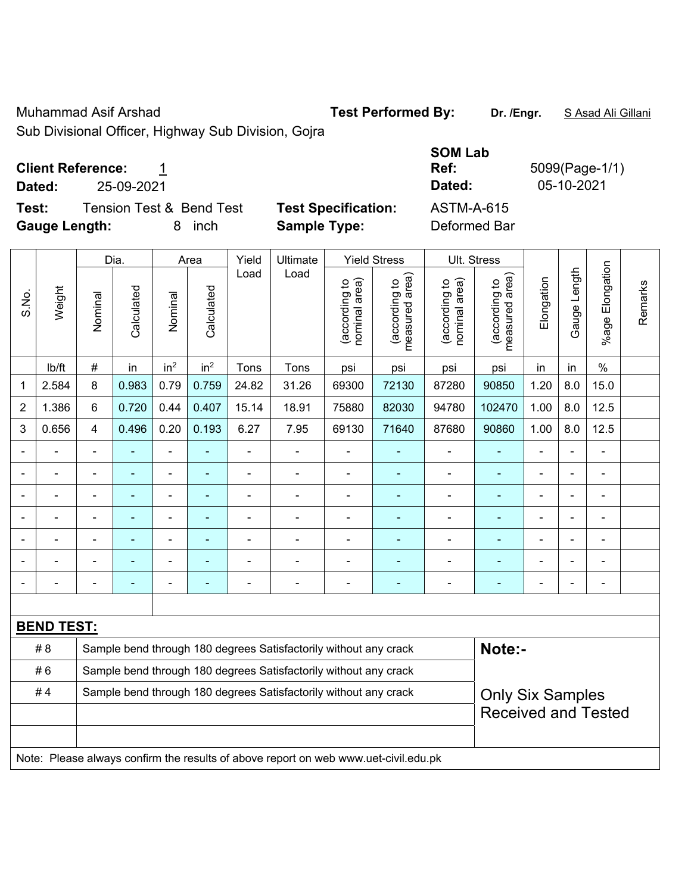Muhammad Asif Arshad **Test Performed By: Dr. /Engr.** S Asad Ali Gillani

Sub Divisional Officer, Highway Sub Division, Gojra

### **Client Reference:** 1

**Test:** Tension Test & Bend Test Test Specification: **Gauge Length:** 8 inch **Sample Type:** Deformed Bar

|              |                          |                          |                            | <b>SOM Lab</b> |                |
|--------------|--------------------------|--------------------------|----------------------------|----------------|----------------|
|              | <b>Client Reference:</b> |                          |                            | Ref:           | 5099(Page-1/1) |
| Dated:       | 25-09-2021               |                          |                            | Dated:         | 05-10-2021     |
| Test:        |                          | Tension Test & Bend Test | <b>Test Specification:</b> | ASTM-A-615     |                |
| Gaugo Longth |                          | 8 inch                   | Sample Type:               | Deformed Bar   |                |

|                |                   |                | Dia.           |                 | Area            | Yield                        | Ultimate                                                                            |                                | <b>Yield Stress</b>             |                                | Ult. Stress                     |                              |                |                       |         |
|----------------|-------------------|----------------|----------------|-----------------|-----------------|------------------------------|-------------------------------------------------------------------------------------|--------------------------------|---------------------------------|--------------------------------|---------------------------------|------------------------------|----------------|-----------------------|---------|
| S.No.          | Weight            | Nominal        | Calculated     | Nominal         | Calculated      | Load                         | Load                                                                                | (according to<br>nominal area) | (according to<br>measured area) | (according to<br>nominal area) | (according to<br>measured area) | Elongation                   | Gauge Length   | Elongation<br>$%$ age | Remarks |
|                | lb/ft             | $\#$           | in             | in <sup>2</sup> | in <sup>2</sup> | Tons                         | Tons                                                                                | psi                            | psi                             | psi                            | psi                             | in                           | in             | $\%$                  |         |
| 1              | 2.584             | 8              | 0.983          | 0.79            | 0.759           | 24.82                        | 31.26                                                                               | 69300                          | 72130                           | 87280                          | 90850                           | 1.20                         | 8.0            | 15.0                  |         |
| $\overline{2}$ | 1.386             | 6              | 0.720          | 0.44            | 0.407           | 15.14                        | 18.91                                                                               | 75880                          | 82030                           | 94780                          | 102470                          | 1.00                         | 8.0            | 12.5                  |         |
| 3              | 0.656             | 4              | 0.496          | 0.20            | 0.193           | 6.27                         | 7.95                                                                                | 69130                          | 71640                           | 87680                          | 90860                           | 1.00                         | 8.0            | 12.5                  |         |
| $\blacksquare$ | ÷.                | $\blacksquare$ |                | ä,              | ä,              | $\blacksquare$               | $\blacksquare$                                                                      | L,                             | ÷                               | ä,                             |                                 | ä,                           | $\blacksquare$ | ä,                    |         |
|                | $\overline{a}$    | $\blacksquare$ | $\blacksquare$ | $\blacksquare$  | ٠               | $\blacksquare$               | $\blacksquare$                                                                      | $\overline{\phantom{a}}$       | Ξ                               | $\overline{\phantom{a}}$       | ÷                               | $\qquad \qquad \blacksquare$ | $\blacksquare$ | ÷                     |         |
|                | ÷.                | ä,             | $\blacksquare$ | $\blacksquare$  | $\blacksquare$  | ä,                           | $\blacksquare$                                                                      | L,                             | ÷                               | ä,                             | $\blacksquare$                  | $\blacksquare$               | $\blacksquare$ | ÷                     |         |
|                | $\blacksquare$    |                |                | Ĭ.              |                 | $\blacksquare$               |                                                                                     | $\blacksquare$                 | ÷,                              |                                | $\blacksquare$                  | $\overline{a}$               |                | $\overline{a}$        |         |
|                |                   |                |                | ä,              |                 |                              |                                                                                     | L,                             | ä,                              |                                |                                 |                              |                | $\blacksquare$        |         |
| $\blacksquare$ | $\blacksquare$    | ä,             |                | $\blacksquare$  | ä,              |                              |                                                                                     | Ē,                             | ÷                               | $\blacksquare$                 |                                 | $\blacksquare$               | ÷,             | $\blacksquare$        |         |
|                | ۰                 | $\blacksquare$ | $\blacksquare$ | $\overline{a}$  | ۳               | $\qquad \qquad \blacksquare$ | $\blacksquare$                                                                      | -                              | ۰                               | $\blacksquare$                 | $\blacksquare$                  | ۰                            | ۰              | ÷                     |         |
|                |                   |                |                |                 |                 |                              |                                                                                     |                                |                                 |                                |                                 |                              |                |                       |         |
|                | <b>BEND TEST:</b> |                |                |                 |                 |                              |                                                                                     |                                |                                 |                                |                                 |                              |                |                       |         |
|                | #8                |                |                |                 |                 |                              | Sample bend through 180 degrees Satisfactorily without any crack                    |                                |                                 |                                | Note:-                          |                              |                |                       |         |
|                | #6                |                |                |                 |                 |                              | Sample bend through 180 degrees Satisfactorily without any crack                    |                                |                                 |                                |                                 |                              |                |                       |         |
|                | #4                |                |                |                 |                 |                              | Sample bend through 180 degrees Satisfactorily without any crack                    |                                |                                 |                                | <b>Only Six Samples</b>         |                              |                |                       |         |
|                |                   |                |                |                 |                 |                              |                                                                                     |                                |                                 |                                | <b>Received and Tested</b>      |                              |                |                       |         |
|                |                   |                |                |                 |                 |                              |                                                                                     |                                |                                 |                                |                                 |                              |                |                       |         |
|                |                   |                |                |                 |                 |                              | Note: Please always confirm the results of above report on web www.uet-civil.edu.pk |                                |                                 |                                |                                 |                              |                |                       |         |